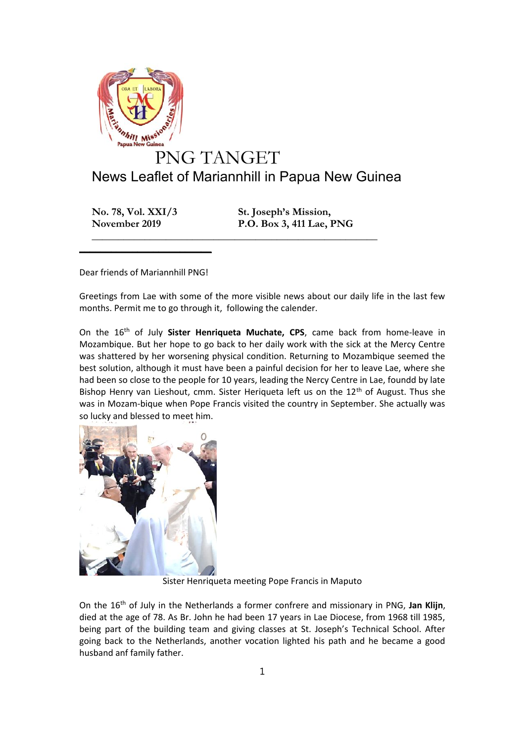

## News Leaflet of Mariannhill in Papua New Guinea

**\_\_\_\_\_\_\_\_\_\_\_\_\_\_\_\_\_\_\_\_\_\_\_\_\_\_\_\_\_\_\_\_\_\_\_\_\_\_\_\_\_\_\_\_\_\_\_\_\_\_\_\_\_\_**

**No. 78, Vol. XXI/3 St. Joseph's Mission, November 2019 P.O. Box 3, 411 Lae, PNG**

Dear friends of Mariannhill PNG!

 $\frac{1}{2}$  , and the set of the set of the set of the set of the set of the set of the set of the set of the set of the set of the set of the set of the set of the set of the set of the set of the set of the set of the set

Greetings from Lae with some of the more visible news about our daily life in the last few months. Permit me to go through it, following the calender.

On the 16th of July **Sister Henriqueta Muchate, CPS**, came back from home-leave in Mozambique. But her hope to go back to her daily work with the sick at the Mercy Centre was shattered by her worsening physical condition. Returning to Mozambique seemed the best solution, although it must have been a painful decision for her to leave Lae, where she had been so close to the people for 10 years, leading the Nercy Centre in Lae, foundd by late Bishop Henry van Lieshout, cmm. Sister Heriqueta left us on the 12<sup>th</sup> of August. Thus she was in Mozam-bique when Pope Francis visited the country in September. She actually was so lucky and blessed to meet him.



Sister Henriqueta meeting Pope Francis in Maputo

On the 16th of July in the Netherlands a former confrere and missionary in PNG, **Jan Klijn**, died at the age of 78. As Br. John he had been 17 years in Lae Diocese, from 1968 till 1985, being part of the building team and giving classes at St. Joseph's Technical School. After going back to the Netherlands, another vocation lighted his path and he became a good husband anf family father.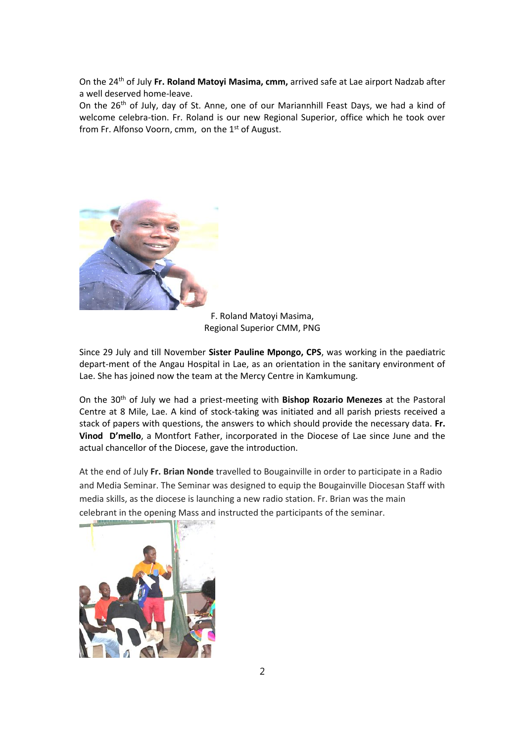On the 24th of July **Fr. Roland Matoyi Masima, cmm,** arrived safe at Lae airport Nadzab after a well deserved home-leave.

On the 26<sup>th</sup> of July, day of St. Anne, one of our Mariannhill Feast Days, we had a kind of welcome celebra-tion. Fr. Roland is our new Regional Superior, office which he took over from Fr. Alfonso Voorn, cmm, on the 1<sup>st</sup> of August.



F. Roland Matoyi Masima, Regional Superior CMM, PNG

Since 29 July and till November **Sister Pauline Mpongo, CPS**, was working in the paediatric depart-ment of the Angau Hospital in Lae, as an orientation in the sanitary environment of Lae. She has joined now the team at the Mercy Centre in Kamkumung.

On the 30th of July we had a priest-meeting with **Bishop Rozario Menezes** at the Pastoral Centre at 8 Mile, Lae. A kind of stock-taking was initiated and all parish priests received a stack of papers with questions, the answers to which should provide the necessary data. **Fr. Vinod D'mello**, a Montfort Father, incorporated in the Diocese of Lae since June and the actual chancellor of the Diocese, gave the introduction.

At the end of July **Fr. Brian Nonde** travelled to Bougainville in order to participate in a Radio and Media Seminar. The Seminar was designed to equip the Bougainville Diocesan Staff with media skills, as the diocese is launching a new radio station. Fr. Brian was the main celebrant in the opening Mass and instructed the participants of the seminar.

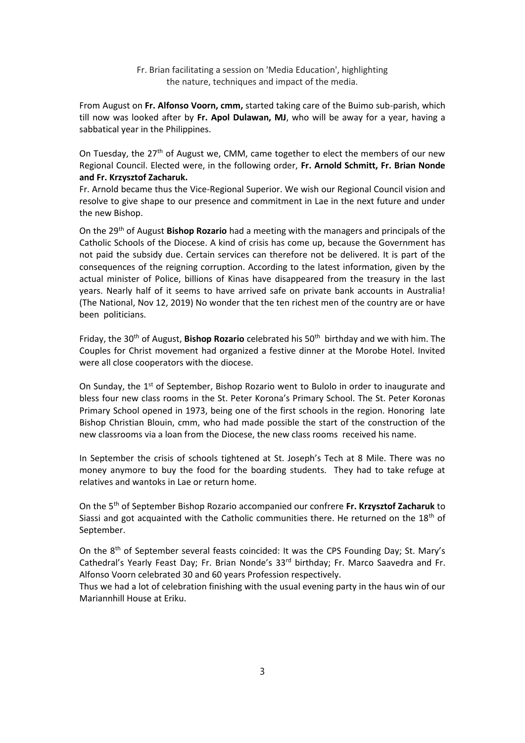Fr. Brian facilitating a session on 'Media Education', highlighting the nature, techniques and impact of the media.

From August on **Fr. Alfonso Voorn, cmm,** started taking care of the Buimo sub-parish, which till now was looked after by **Fr. Apol Dulawan, MJ**, who will be away for a year, having a sabbatical year in the Philippines.

On Tuesday, the  $27<sup>th</sup>$  of August we, CMM, came together to elect the members of our new Regional Council. Elected were, in the following order, **Fr. Arnold Schmitt, Fr. Brian Nonde and Fr. Krzysztof Zacharuk.**

Fr. Arnold became thus the Vice-Regional Superior. We wish our Regional Council vision and resolve to give shape to our presence and commitment in Lae in the next future and under the new Bishop.

On the 29th of August **Bishop Rozario** had a meeting with the managers and principals of the Catholic Schools of the Diocese. A kind of crisis has come up, because the Government has not paid the subsidy due. Certain services can therefore not be delivered. It is part of the consequences of the reigning corruption. According to the latest information, given by the actual minister of Police, billions of Kinas have disappeared from the treasury in the last years. Nearly half of it seems to have arrived safe on private bank accounts in Australia! (The National, Nov 12, 2019) No wonder that the ten richest men of the country are or have been politicians.

Friday, the 30<sup>th</sup> of August, **Bishop Rozario** celebrated his 50<sup>th</sup> birthday and we with him. The Couples for Christ movement had organized a festive dinner at the Morobe Hotel. Invited were all close cooperators with the diocese.

On Sunday, the  $1<sup>st</sup>$  of September, Bishop Rozario went to Bulolo in order to inaugurate and bless four new class rooms in the St. Peter Korona's Primary School. The St. Peter Koronas Primary School opened in 1973, being one of the first schools in the region. Honoring late Bishop Christian Blouin, cmm, who had made possible the start of the construction of the new classrooms via a loan from the Diocese, the new class rooms received his name.

In September the crisis of schools tightened at St. Joseph's Tech at 8 Mile. There was no money anymore to buy the food for the boarding students. They had to take refuge at relatives and wantoks in Lae or return home.

On the 5th of September Bishop Rozario accompanied our confrere **Fr. Krzysztof Zacharuk** to Siassi and got acquainted with the Catholic communities there. He returned on the 18<sup>th</sup> of September.

On the 8th of September several feasts coincided: It was the CPS Founding Day; St. Mary's Cathedral's Yearly Feast Day; Fr. Brian Nonde's 33<sup>rd</sup> birthday; Fr. Marco Saavedra and Fr. Alfonso Voorn celebrated 30 and 60 years Profession respectively.

Thus we had a lot of celebration finishing with the usual evening party in the haus win of our Mariannhill House at Eriku.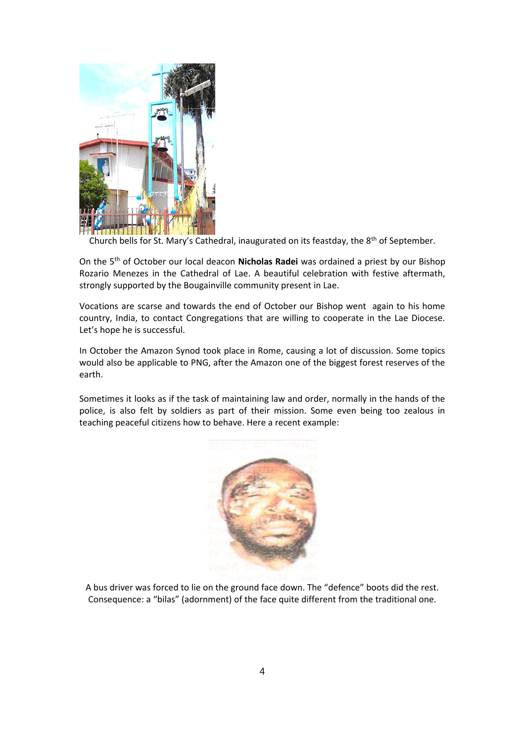

Church bells for St. Mary's Cathedral, inaugurated on its feastday, the 8<sup>th</sup> of September.

On the 5th of October our local deacon **Nicholas Radei** was ordained a priest by our Bishop Rozario Menezes in the Cathedral of Lae. A beautiful celebration with festive aftermath, strongly supported by the Bougainville community present in Lae.

Vocations are scarse and towards the end of October our Bishop went again to his home country, India, to contact Congregations that are willing to cooperate in the Lae Diocese. Let's hope he is successful.

In October the Amazon Synod took place in Rome, causing a lot of discussion. Some topics would also be applicable to PNG, after the Amazon one of the biggest forest reserves of the earth.

Sometimes it looks as if the task of maintaining law and order, normally in the hands of the police, is also felt by soldiers as part of their mission. Some even being too zealous in teaching peaceful citizens how to behave. Here a recent example:



A bus driver was forced to lie on the ground face down. The "defence" boots did the rest. Consequence: a "bilas" (adornment) of the face quite different from the traditional one.